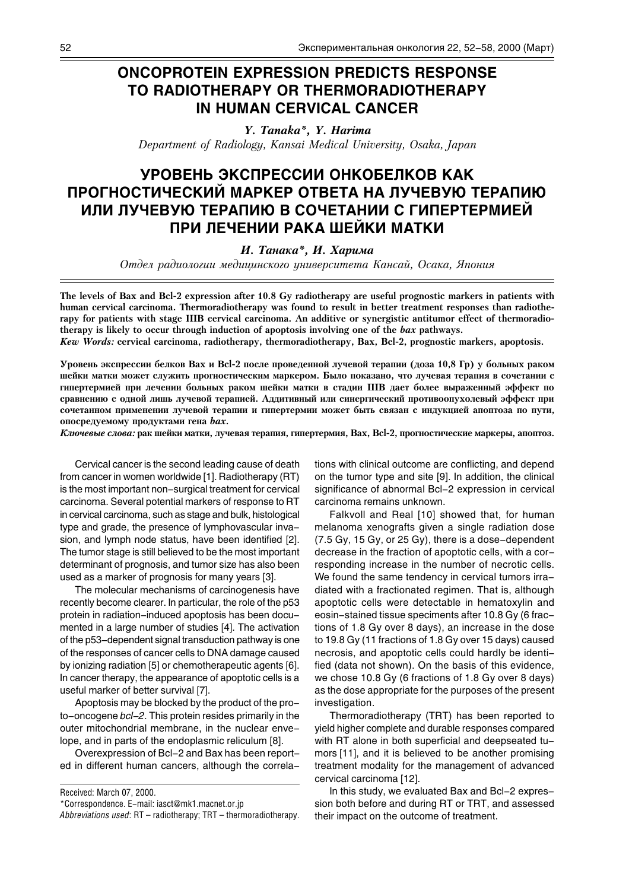## ONCOPROTEIN EXPRESSION PREDICTS RESPONSE TO RADIOTHERAPY OR THERMORADIOTHERAPY IN HUMAN CERVICAL CANCER

Y. Tanaka\*, Y. Harima Department of Radiology, Kansai Medical University, Osaka, Japan

# УРОВЕНЬ ЭКСПРЕССИИ ОНКОБЕЛКОВ КАК ПРОГНОСТИЧЕСКИЙ МАРКЕР ОТВЕТА НА ЛУЧЕВУЮ ТЕРАПИЮ ИЛИ ЛУЧЕВУЮ ТЕРАПИЮ В СОЧЕТАНИИ С ГИПЕРТЕРМИЕЙ ПРИ ЛЕЧЕНИИ РАКА ШЕЙКИ МАТКИ

## И. Танака\*, И. Харима

Отдел радиологии медицинского университета Кансай, Осака, Япония

The levels of Bax and Bcl-2 expression after 10.8 Gy radiotherapy are useful prognostic markers in patients with human cervical carcinoma. Thermoradiotherapy was found to result in better treatment responses than radiotherapy for patients with stage IIIB cervical carcinoma. An additive or synergistic antitumor effect of thermoradiotherapy is likely to occur through induction of apoptosis involving one of the bax pathways.

Kew Words: cervical carcinoma, radiotherapy, thermoradiotherapy, Bax, Bcl-2, prognostic markers, apoptosis.

Уровень экспрессии белков Вах и Bcl-2 после проведенной лучевой терапии (доза 10,8 Гр) у больных раком шейки матки может служить прогностическим маркером. Было показано, что лучевая терапия в сочетании с гипертермией при лечении больных раком шейки матки в стадии IIIB дает более выраженный эффект по сравнению с одной лишь лучевой терапией. Аддитивный или синергический противоопухолевый эффект при сочетанном применении лучевой терапии и гипертермии может быть связан с индукцией апоптоза по пути, опосредуемому продуктами гена  $\mathit{bax}$ .

Ключевые слова: рак шейки матки, лучевая терапия, гипертермия, Bax, Bcl-2, прогностические маркеры, апоптоз.

Cervical cancer is the second leading cause of death from cancer in women worldwide [1]. Radiotherapy (RT) is the most important non-surgical treatment for cervical carcinoma. Several potential markers of response to RT in cervical carcinoma, such as stage and bulk, histological type and grade, the presence of lymphovascular invasion, and lymph node status, have been identified [2]. The tumor stage is still believed to be the most important determinant of prognosis, and tumor size has also been used as a marker of prognosis for many years [3].

The molecular mechanisms of carcinogenesis have recently become clearer. In particular, the role of the p53 protein in radiation-induced apoptosis has been documented in a large number of studies [4]. The activation of the p53-dependent signal transduction pathway is one of the responses of cancer cells to DNA damage caused by ionizing radiation [5] or chemotherapeutic agents [6]. In cancer therapy, the appearance of apoptotic cells is a useful marker of better survival [7].

Apoptosis may be blocked by the product of the proto-oncogene bcl-2. This protein resides primarily in the outer mitochondrial membrane, in the nuclear envelope, and in parts of the endoplasmic reliculum [8].

Overexpression of Bcl-2 and Bax has been reported in different human cancers, although the correla-

Received: March 07, 2000.

tions with clinical outcome are conflicting, and depend on the tumor type and site [9]. In addition, the clinical significance of abnormal Bcl-2 expression in cervical carcinoma remains unknown.

Falkvoll and Real [10] showed that, for human melanoma xenografts given a single radiation dose (7.5 Gy, 15 Gy, or 25 Gy), there is a dose-dependent decrease in the fraction of apoptotic cells, with a corresponding increase in the number of necrotic cells. We found the same tendency in cervical tumors irradiated with a fractionated regimen. That is, although apoptotic cells were detectable in hematoxylin and eosin-stained tissue speciments after 10.8 Gy (6 fractions of 1.8 Gy over 8 days), an increase in the dose to 19.8 Gy (11 fractions of 1.8 Gy over 15 days) caused necrosis, and apoptotic cells could hardly be identified (data not shown). On the basis of this evidence, we chose 10.8 Gy (6 fractions of 1.8 Gy over 8 days) as the dose appropriate for the purposes of the present investigation.

Thermoradiotherapy (TRT) has been reported to yield higher complete and durable responses compared with RT alone in both superficial and deepseated tumors [11], and it is believed to be another promising treatment modality for the management of advanced cervical carcinoma [12].

In this study, we evaluated Bax and Bcl-2 expression both before and during RT or TRT, and assessed their impact on the outcome of treatment.

<sup>\*</sup>Correspondence. E-mail: iasct@mk1.macnet.or.jp

Abbreviations used:  $RT$  - radiotherapy;  $TRT$  - thermoradiotherapy.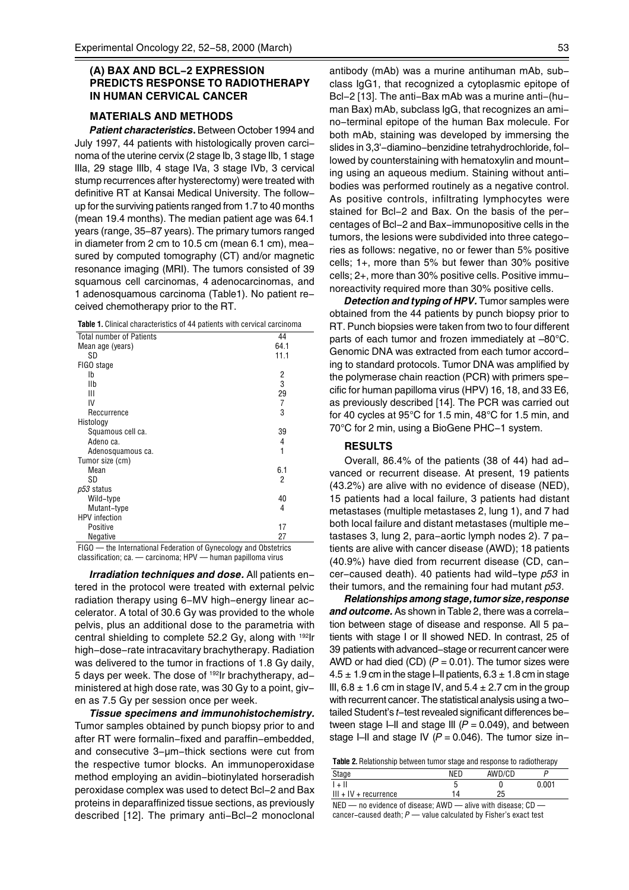### (A) BAX AND BCL-2 EXPRESSION PREDICTS RESPONSE TO RADIOTHERAPY IN HUMAN CERVICAL CANCER

#### MATERIALS AND METHODS

**Patient characteristics.** Between October 1994 and July 1997, 44 patients with histologically proven carcinoma of the uterine cervix (2 stage Ib, 3 stage IIb, 1 stage IIIa, 29 stage IIIb, 4 stage IVa, 3 stage IVb, 3 cervical stump recurrences after hysterectomy) were treated with definitive RT at Kansai Medical University. The followup for the surviving patients ranged from 1.7 to 40 months (mean 19.4 months). The median patient age was 64.1 years (range, 35–87 years). The primary tumors ranged in diameter from 2 cm to 10.5 cm (mean 6.1 cm), measured by computed tomography (CT) and/or magnetic resonance imaging (MRI). The tumors consisted of 39 squamous cell carcinomas, 4 adenocarcinomas, and 1 adenosquamous carcinoma (Table1). No patient received chemotherapy prior to the RT.

| <b>Total number of Patients</b> | 44   |
|---------------------------------|------|
| Mean age (years)                | 64.1 |
| <b>SD</b>                       | 11.1 |
| FIGO stage                      |      |
| Ib                              | 2    |
| IIb                             | 3    |
| Ш                               | 29   |
| IV                              | 7    |
| Reccurrence                     | 3    |
| Histology                       |      |
| Squamous cell ca.               | 39   |
| Adeno ca.                       | 4    |
| Adenosquamous ca.               | 1    |
| Tumor size (cm)                 |      |
| Mean                            | 6.1  |
| SD                              | 2    |
| p53 status                      |      |
| Wild-type                       | 40   |
| Mutant-type                     | 4    |
| <b>HPV</b> infection            |      |
| Positive                        | 17   |
| Negative                        | 27   |

FIGO - the International Federation of Gynecology and Obstetrics classification; ca. - carcinoma; HPV - human papilloma virus

Irradiation techniques and dose. All patients entered in the protocol were treated with external pelvic radiation therapy using 6-MV high-energy linear accelerator. A total of 30.6 Gy was provided to the whole pelvis, plus an additional dose to the parametria with central shielding to complete 52.2 Gy, along with 192Ir high-dose-rate intracavitary brachytherapy. Radiation was delivered to the tumor in fractions of 1.8 Gy daily, 5 days per week. The dose of <sup>192</sup>lr brachytherapy, administered at high dose rate, was 30 Gy to a point, given as 7.5 Gy per session once per week.

Tissue specimens and immunohistochemistry. Tumor samples obtained by punch biopsy prior to and after RT were formalin-fixed and paraffin-embedded, and consecutive 3-µm-thick sections were cut from the respective tumor blocks. An immunoperoxidase method employing an avidin-biotinylated horseradish peroxidase complex was used to detect Bcl-2 and Bax proteins in deparaffinized tissue sections, as previously described [12]. The primary anti-Bcl-2 monoclonal antibody (mAb) was a murine antihuman mAb, subclass IgG1, that recognized a cytoplasmic epitope of Bcl-2 [13]. The anti-Bax mAb was a murine anti-(human Bax) mAb, subclass IgG, that recognizes an amino-terminal epitope of the human Bax molecule. For both mAb, staining was developed by immersing the slides in 3,3'-diamino-benzidine tetrahydrochloride, followed by counterstaining with hematoxylin and mounting using an aqueous medium. Staining without antibodies was performed routinely as a negative control. As positive controls, infiltrating lymphocytes were stained for Bcl-2 and Bax. On the basis of the percentages of Bcl-2 and Bax-immunopositive cells in the tumors, the lesions were subdivided into three categories as follows: negative, no or fewer than 5% positive cells; 1+, more than 5% but fewer than 30% positive cells; 2+, more than 30% positive cells. Positive immunoreactivity required more than 30% positive cells.

Detection and typing of HPV. Tumor samples were obtained from the 44 patients by punch biopsy prior to RT. Punch biopsies were taken from two to four different parts of each tumor and frozen immediately at  $-80^{\circ}$ C. Genomic DNA was extracted from each tumor according to standard protocols. Tumor DNA was amplified by the polymerase chain reaction (PCR) with primers specific for human papilloma virus (HPV) 16, 18, and 33 E6, as previously described [14]. The PCR was carried out for 40 cycles at 95°C for 1.5 min, 48°C for 1.5 min, and 70°C for 2 min, using a BioGene PHC-1 system.

#### RESULTS

Overall, 86.4% of the patients (38 of 44) had advanced or recurrent disease. At present, 19 patients (43.2%) are alive with no evidence of disease (NED), 15 patients had a local failure, 3 patients had distant metastases (multiple metastases 2, lung 1), and 7 had both local failure and distant metastases (multiple metastases 3, lung 2, para-aortic lymph nodes 2). 7 patients are alive with cancer disease (AWD); 18 patients (40.9%) have died from recurrent disease (CD, cancer-caused death). 40 patients had wild-type p53 in their tumors, and the remaining four had mutant p53.

Relationships among stage, tumor size, response and outcome. As shown in Table 2, there was a correlation between stage of disease and response. All 5 patients with stage I or II showed NED. In contrast, 25 of 39 patients with advanced-stage or recurrent cancer were AWD or had died (CD)  $(P = 0.01)$ . The tumor sizes were  $4.5 \pm 1.9$  cm in the stage I-II patients,  $6.3 \pm 1.8$  cm in stage III,  $6.8 \pm 1.6$  cm in stage IV, and  $5.4 \pm 2.7$  cm in the group with recurrent cancer. The statistical analysis using a twotailed Student's  $t$ -test revealed significant differences between stage I-II and stage III ( $P = 0.049$ ), and between stage I-II and stage IV ( $P = 0.046$ ). The tumor size in-

|  | Table 2. Relationship between tumor stage and response to radiotherapy |
|--|------------------------------------------------------------------------|
|--|------------------------------------------------------------------------|

| Stage                   | NED | AWD/CD |       |
|-------------------------|-----|--------|-------|
| $1 + 11$                |     |        | 0.001 |
| $III + IV + recurrence$ | 14  | 25     |       |

 $NED$   $-$  no evidence of disease; AWD  $-$  alive with disease; CD  $$ cancer-caused death;  $P$   $\rightarrow$  value calculated by Fisher's exact test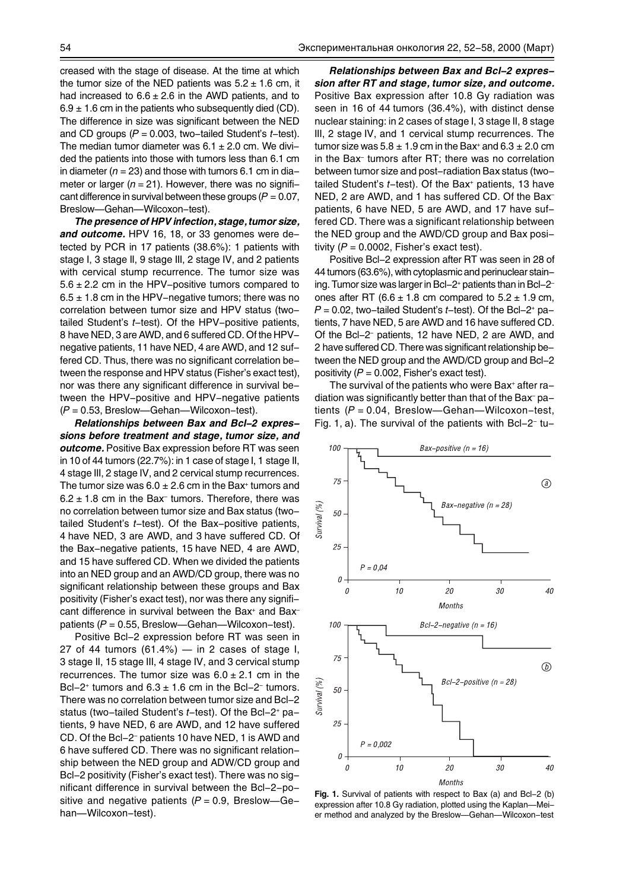creased with the stage of disease. At the time at which the tumor size of the NED patients was  $5.2 \pm 1.6$  cm, it had increased to  $6.6 \pm 2.6$  in the AWD patients, and to  $6.9 \pm 1.6$  cm in the patients who subsequently died (CD). The difference in size was significant between the NED and CD groups  $(P = 0.003$ , two-tailed Student's  $t$ -test). The median tumor diameter was  $6.1 \pm 2.0$  cm. We divided the patients into those with tumors less than 6.1 cm in diameter ( $n = 23$ ) and those with tumors 6.1 cm in diameter or larger ( $n = 21$ ). However, there was no significant difference in survival between these groups ( $P = 0.07$ , Breslow-Gehan-Wilcoxon-test).

The presence of HPV infection, stage, tumor size, and outcome. HPV 16, 18, or 33 genomes were detected by PCR in 17 patients (38.6%): 1 patients with stage I, 3 stage II, 9 stage III, 2 stage IV, and 2 patients with cervical stump recurrence. The tumor size was  $5.6 \pm 2.2$  cm in the HPV-positive tumors compared to  $6.5 \pm 1.8$  cm in the HPV-negative tumors; there was no correlation between tumor size and HPV status (twotailed Student's  $t$ -test). Of the HPV-positive patients, 8 have NED, 3 are AWD, and 6 suffered CD. Of the HPVnegative patients, 11 have NED, 4 are AWD, and 12 suffered CD. Thus, there was no significant correlation between the response and HPV status (Fisher's exact test), nor was there any significant difference in survival between the HPV-positive and HPV-negative patients  $(P = 0.53,$  Breslow-Gehan-Wilcoxon-test).

Relationships between Bax and Bcl-2 expressions before treatment and stage, tumor size, and outcome. Positive Bax expression before RT was seen in 10 of 44 tumors (22.7%): in 1 case of stage I, 1 stage II, 4 stage III, 2 stage IV, and 2 cervical stump recurrences. The tumor size was  $6.0 \pm 2.6$  cm in the Bax<sup>+</sup> tumors and  $6.2 \pm 1.8$  cm in the Bax- tumors. Therefore, there was no correlation between tumor size and Bax status (twotailed Student's  $t$ -test). Of the Bax-positive patients, 4 have NED, 3 are AWD, and 3 have suffered CD. Of the Bax-negative patients, 15 have NED, 4 are AWD, and 15 have suffered CD. When we divided the patients into an NED group and an AWD/CD group, there was no significant relationship between these groups and Bax positivity (Fisher's exact test), nor was there any significant difference in survival between the Bax<sup>+</sup> and Bax<sup>-</sup> patients ( $P = 0.55$ , Breslow-Gehan-Wilcoxon-test).

Positive Bcl-2 expression before RT was seen in 27 of 44 tumors  $(61.4\%)$  in 2 cases of stage I, 3 stage II, 15 stage III, 4 stage IV, and 3 cervical stump recurrences. The tumor size was  $6.0 \pm 2.1$  cm in the Bcl-2+ tumors and  $6.3 \pm 1.6$  cm in the Bcl-2- tumors. There was no correlation between tumor size and Bcl-2 status (two-tailed Student's  $t$ -test). Of the Bcl-2+ patients, 9 have NED, 6 are AWD, and 12 have suffered CD. Of the Bcl-2 patients 10 have NED, 1 is AWD and 6 have suffered CD. There was no significant relationship between the NED group and ADW/CD group and Bcl-2 positivity (Fisher's exact test). There was no significant difference in survival between the Bcl-2-positive and negative patients  $(P = 0.9,$  Breslow-Gehan-Wilcoxon-test).

Relationships between Bax and Bcl-2 expression after RT and stage, tumor size, and outcome. Positive Bax expression after 10.8 Gy radiation was seen in 16 of 44 tumors (36.4%), with distinct dense nuclear staining: in 2 cases of stage I, 3 stage II, 8 stage III, 2 stage IV, and 1 cervical stump recurrences. The tumor size was 5.8  $\pm$  1.9 cm in the Bax+ and 6.3  $\pm$  2.0 cm in the Bax tumors after RT; there was no correlation between tumor size and post-radiation Bax status (twotailed Student's  $t$ -test). Of the Bax<sup>+</sup> patients, 13 have NED, 2 are AWD, and 1 has suffered CD. Of the Bax patients, 6 have NED, 5 are AWD, and 17 have suffered CD. There was a significant relationship between the NED group and the AWD/CD group and Bax positivity ( $P = 0.0002$ , Fisher's exact test).

Positive Bcl-2 expression after RT was seen in 28 of 44 tumors (63.6%), with cytoplasmic and perinuclear staining. Tumor size was larger in Bcl-2+ patients than in Bcl-2 ones after RT (6.6  $\pm$  1.8 cm compared to 5.2  $\pm$  1.9 cm,  $P = 0.02$ , two-tailed Student's t-test). Of the Bcl-2+ patients, 7 have NED, 5 are AWD and 16 have suffered CD. Of the Bcl-2<sup>-</sup> patients, 12 have NED, 2 are AWD, and 2 have suffered CD. There was significant relationship between the NED group and the AWD/CD group and Bcl-2 positivity ( $P = 0.002$ , Fisher's exact test).

The survival of the patients who were Bax<sup>+</sup> after radiation was significantly better than that of the Bax patients ( $P = 0.04$ , Breslow-Gehan-Wilcoxon-test, Fig. 1, a). The survival of the patients with Bcl-2 tu-



Fig. 1. Survival of patients with respect to Bax (a) and Bcl-2 (b) expression after 10.8 Gy radiation, plotted using the Kaplan-Meier method and analyzed by the Breslow-Gehan-Wilcoxon-test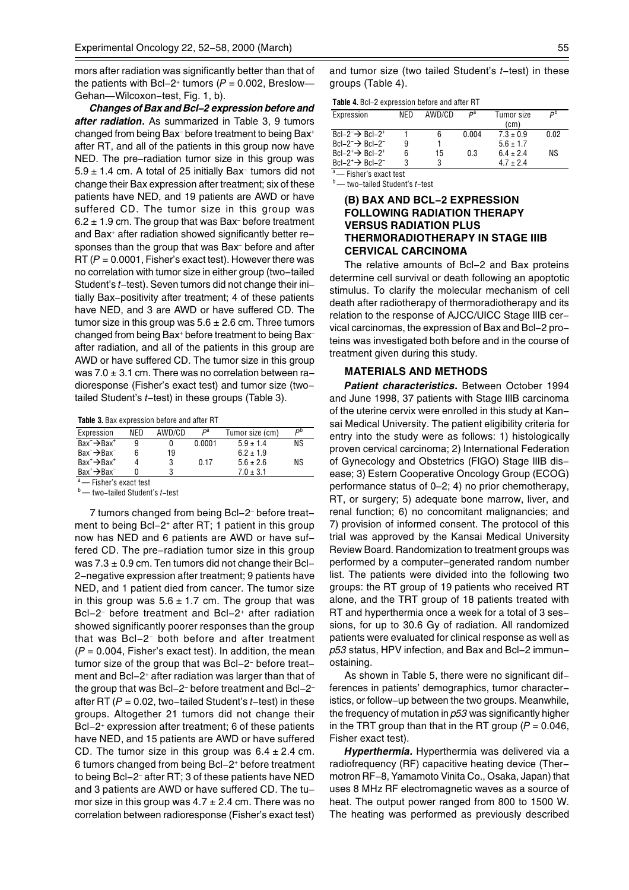mors after radiation was significantly better than that of the patients with Bcl-2<sup>+</sup> tumors ( $P = 0.002$ , Breslow-Gehan-Wilcoxon-test, Fig. 1, b).

Changes of Bax and Bcl-2 expression before and after radiation. As summarized in Table 3, 9 tumors changed from being Bax<sup>-</sup> before treatment to being Bax<sup>+</sup> after RT, and all of the patients in this group now have NED. The pre-radiation tumor size in this group was  $5.9 \pm 1.4$  cm. A total of 25 initially Bax<sup>-</sup> tumors did not change their Bax expression after treatment; six of these patients have NED, and 19 patients are AWD or have suffered CD. The tumor size in this group was  $6.2 \pm 1.9$  cm. The group that was Bax<sup>-</sup> before treatment and Bax+ after radiation showed significantly better responses than the group that was Bax before and after RT ( $P = 0.0001$ , Fisher's exact test). However there was no correlation with tumor size in either group (two-tailed Student's  $t$ -test). Seven tumors did not change their initially Bax-positivity after treatment; 4 of these patients have NED, and 3 are AWD or have suffered CD. The tumor size in this group was  $5.6 \pm 2.6$  cm. Three tumors changed from being Bax+ before treatment to being Bax after radiation, and all of the patients in this group are AWD or have suffered CD. The tumor size in this group was 7.0  $\pm$  3.1 cm. There was no correlation between radioresponse (Fisher's exact test) and tumor size (twotailed Student's  $t$ -test) in these groups (Table 3).

Table 3. Bax expression before and after RT

| Expression                                                      | NED | AWD/CD | рa     | Tumor size (cm) | D  |
|-----------------------------------------------------------------|-----|--------|--------|-----------------|----|
| $Bax^- \rightarrow Bax^+$                                       | g   |        | 0.0001 | $5.9 + 1.4$     | ΝS |
| $\mathsf{Bax}^{\mathsf{-}}\rightarrow\mathsf{Bax}^{\mathsf{-}}$ |     | 19     |        | $6.2 \pm 1.9$   |    |
| $Bax^+ \rightarrow Bax^+$                                       |     | 3      | 0.17   | $5.6 \pm 2.6$   | ΝS |
| $\mathsf{Bax}^+\rightarrow \mathsf{Bax}^-$                      |     | 3      |        | $7.0 \pm 3.1$   |    |
|                                                                 |     |        |        |                 |    |

 $a$  – Fisher's exact test

 $b$  — two-tailed Student's t-test

7 tumors changed from being Bcl-2-before treatment to being Bcl-2<sup>+</sup> after RT; 1 patient in this group now has NED and 6 patients are AWD or have suffered CD. The pre-radiation tumor size in this group was  $7.3 \pm 0.9$  cm. Ten tumors did not change their Bcl-2-negative expression after treatment; 9 patients have NED, and 1 patient died from cancer. The tumor size in this group was  $5.6 \pm 1.7$  cm. The group that was Bcl-2<sup>-</sup> before treatment and Bcl-2<sup>+</sup> after radiation showed significantly poorer responses than the group that was Bcl-2- both before and after treatment  $(P = 0.004$ , Fisher's exact test). In addition, the mean tumor size of the group that was Bcl-2- before treatment and Bcl-2+ after radiation was larger than that of the group that was Bcl–2<sup>–</sup> before treatment and Bcl–2<sup>–</sup> after RT ( $P = 0.02$ , two-tailed Student's t-test) in these groups. Altogether 21 tumors did not change their Bcl-2+ expression after treatment; 6 of these patients have NED, and 15 patients are AWD or have suffered CD. The tumor size in this group was  $6.4 \pm 2.4$  cm. 6 tumors changed from being Bcl-2+ before treatment to being Bcl-2 after RT; 3 of these patients have NED and 3 patients are AWD or have suffered CD. The tumor size in this group was  $4.7 \pm 2.4$  cm. There was no correlation between radioresponse (Fisher's exact test)

| <b>Table 4.</b> Bcl–2 expression before and after RT |  |  |
|------------------------------------------------------|--|--|
|------------------------------------------------------|--|--|

| Expression                   | <b>NFD</b> | AWD/CD | рa    | Tumor size        | рb   |
|------------------------------|------------|--------|-------|-------------------|------|
|                              |            |        |       | (c <sub>m</sub> ) |      |
| $Bcl-2^-$ Bcl-2 <sup>+</sup> |            |        | 0.004 | $7.3 \pm 0.9$     | 0.02 |
| $Bcl-2^-$ Bcl-2 <sup>-</sup> | 9          |        |       | $5.6 \pm 1.7$     |      |
| $Bcl-2^+$ Bcl-2 <sup>+</sup> | 6          | 15     | 0.3   | $64 + 24$         | ΝS   |
| $Bcl-2^+$ Bcl-2 <sup>-</sup> | 3          | 3      |       | $47 + 24$         |      |

a-Fisher's exact test - two-tailed Student's t-test

### (B) BAX AND BCL-2 EXPRESSION FOLLOWING RADIATION THERAPY VERSUS RADIATION PLUS THERMORADIOTHERAPY IN STAGE IIIB CERVICAL CARCINOMA

The relative amounts of Bcl-2 and Bax proteins determine cell survival or death following an apoptotic stimulus. To clarify the molecular mechanism of cell death after radiotherapy of thermoradiotherapy and its relation to the response of AJCC/UICC Stage IIIB cervical carcinomas, the expression of Bax and Bcl-2 proteins was investigated both before and in the course of treatment given during this study.

#### MATERIALS AND METHODS

Patient characteristics. Between October 1994 and June 1998, 37 patients with Stage IIIB carcinoma of the uterine cervix were enrolled in this study at Kansai Medical University. The patient eligibility criteria for entry into the study were as follows: 1) histologically proven cervical carcinoma; 2) International Federation of Gynecology and Obstetrics (FIGO) Stage IIIB disease; 3) Estern Cooperative Oncology Group (ECOG) performance status of  $0-2$ ; 4) no prior chemotherapy, RT, or surgery; 5) adequate bone marrow, liver, and renal function; 6) no concomitant malignancies; and 7) provision of informed consent. The protocol of this trial was approved by the Kansai Medical University Review Board. Randomization to treatment groups was performed by a computer-generated random number list. The patients were divided into the following two groups: the RT group of 19 patients who received RT alone, and the TRT group of 18 patients treated with RT and hyperthermia once a week for a total of 3 sessions, for up to 30.6 Gy of radiation. All randomized patients were evaluated for clinical response as well as p53 status, HPV infection, and Bax and Bcl-2 immunostaining.

As shown in Table 5, there were no significant differences in patients' demographics, tumor characteristics, or follow-up between the two groups. Meanwhile, the frequency of mutation in  $p53$  was significantly higher in the TRT group than that in the RT group ( $P = 0.046$ , Fisher exact test).

Hyperthermia. Hyperthermia was delivered via a radiofrequency (RF) capacitive heating device (Thermotron RF-8, Yamamoto Vinita Co., Osaka, Japan) that uses 8 MHz RF electromagnetic waves as a source of heat. The output power ranged from 800 to 1500 W. The heating was performed as previously described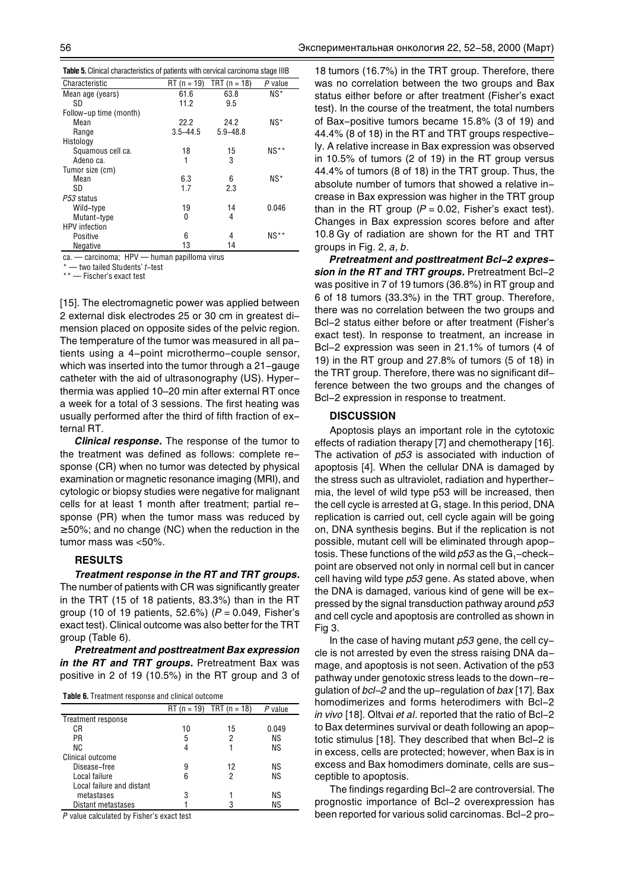|  | <b>Table 5.</b> Clinical characteristics of patients with cervical carcinoma stage IIIB |  |  |  |
|--|-----------------------------------------------------------------------------------------|--|--|--|
|  |                                                                                         |  |  |  |

| Characteristic         | $RT (n = 19)$ | TRT $(n = 18)$ | P value |
|------------------------|---------------|----------------|---------|
| Mean age (years)       | 61.6          | 63.8           | $NS^*$  |
| SD                     | 11.2          | 9.5            |         |
| Follow-up time (month) |               |                |         |
| Mean                   | 22.2          | 24.2           | $NS*$   |
| Range                  | $3.5 - 44.5$  | $5.9 - 48.8$   |         |
| Histology              |               |                |         |
| Squamous cell ca.      | 18            | 15             | $NS**$  |
| Adeno ca.              | 1             | 3              |         |
| Tumor size (cm)        |               |                |         |
| Mean                   | 6.3           | 6              | $NS^*$  |
| SD                     | 1.7           | 2.3            |         |
| P53 status             |               |                |         |
| Wild-type              | 19            | 14             | 0.046   |
| Mutant-type            | 0             | 4              |         |
| <b>HPV</b> infection   |               |                |         |
| Positive               | 6             | 4              | $NS**$  |
| Negative               | 13            | 14             |         |

ca. - carcinoma; HPV - human papilloma virus

- two tailed Students' t-test

\*\* - Fischer's exact test

[15]. The electromagnetic power was applied between 2 external disk electrodes 25 or 30 cm in greatest dimension placed on opposite sides of the pelvic region. The temperature of the tumor was measured in all patients using a 4-point microthermo-couple sensor, which was inserted into the tumor through a 21-gauge catheter with the aid of ultrasonography (US). Hyperthermia was applied 10-20 min after external RT once a week for a total of 3 sessions. The first heating was usually performed after the third of fifth fraction of external RT.

**Clinical response.** The response of the tumor to the treatment was defined as follows: complete response (CR) when no tumor was detected by physical examination or magnetic resonance imaging (MRI), and cytologic or biopsy studies were negative for malignant cells for at least 1 month after treatment; partial response (PR) when the tumor mass was reduced by ≥ 50%; and no change (NC) when the reduction in the tumor mass was <50%.

#### RESULTS

Treatment response in the RT and TRT groups. The number of patients with CR was significantly greater in the TRT (15 of 18 patients, 83.3%) than in the RT group (10 of 19 patients, 52.6%) ( $P = 0.049$ , Fisher's exact test). Clinical outcome was also better for the TRT group (Table 6).

Pretreatment and posttreatment Bax expression in the RT and TRT groups. Pretreatment Bax was positive in 2 of 19 (10.5%) in the RT group and 3 of

|  |  |  | Table 6. Treatment response and clinical outcome |  |
|--|--|--|--------------------------------------------------|--|
|--|--|--|--------------------------------------------------|--|

|                           |    | RT $(n = 19)$ TRT $(n = 18)$ | P value |
|---------------------------|----|------------------------------|---------|
| Treatment response        |    |                              |         |
| СR                        | 10 | 15                           | 0.049   |
| PR                        | 5  | 2                            | ΝS      |
| NC.                       |    |                              | ΝS      |
| Clinical outcome          |    |                              |         |
| Disease-free              |    | 12                           | ΝS      |
| Local failure             |    | 2                            | ΝS      |
| Local failure and distant |    |                              |         |
| metastases                |    |                              | ΝS      |
| Distant metastases        |    |                              | ΝS      |
|                           |    |                              |         |

 $P$  value calculated by Fisher's exact test

18 tumors (16.7%) in the TRT group. Therefore, there was no correlation between the two groups and Bax status either before or after treatment (Fisher's exact test). In the course of the treatment, the total numbers of Bax-positive tumors became 15.8% (3 of 19) and 44.4% (8 of 18) in the RT and TRT groups respectively. A relative increase in Bax expression was observed in 10.5% of tumors (2 of 19) in the RT group versus 44.4% of tumors (8 of 18) in the TRT group. Thus, the absolute number of tumors that showed a relative increase in Bax expression was higher in the TRT group than in the RT group ( $P = 0.02$ , Fisher's exact test). Changes in Bax expression scores before and after 10.8 Gy of radiation are shown for the RT and TRT groups in Fig. 2, a, b.

Pretreatment and posttreatment Bcl-2 expression in the RT and TRT groups. Pretreatment Bcl-2 was positive in 7 of 19 tumors (36.8%) in RT group and 6 of 18 tumors (33.3%) in the TRT group. Therefore, there was no correlation between the two groups and Bcl-2 status either before or after treatment (Fisher's exact test). In response to treatment, an increase in Bcl-2 expression was seen in 21.1% of tumors (4 of 19) in the RT group and 27.8% of tumors (5 of 18) in the TRT group. Therefore, there was no significant difference between the two groups and the changes of Bcl-2 expression in response to treatment.

#### **DISCUSSION**

Apoptosis plays an important role in the cytotoxic effects of radiation therapy [7] and chemotherapy [16]. The activation of  $p53$  is associated with induction of apoptosis [4]. When the cellular DNA is damaged by the stress such as ultraviolet, radiation and hyperthermia, the level of wild type p53 will be increased, then the cell cycle is arrested at  $G<sub>1</sub>$  stage. In this period, DNA replication is carried out, cell cycle again will be going on, DNA synthesis begins. But if the replication is not possible, mutant cell will be eliminated through apoptosis. These functions of the wild  $p53$  as the  $G_1$ -checkpoint are observed not only in normal cell but in cancer cell having wild type  $p53$  gene. As stated above, when the DNA is damaged, various kind of gene will be expressed by the signal transduction pathway around  $p53$ and cell cycle and apoptosis are controlled as shown in Fig 3.

In the case of having mutant  $p53$  gene, the cell cycle is not arrested by even the stress raising DNA damage, and apoptosis is not seen. Activation of the p53 pathway under genotoxic stress leads to the down-requlation of  $bcI-2$  and the up-regulation of  $bax$  [17]. Bax homodimerizes and forms heterodimers with Bcl-2 in vivo [18]. Oltvai et al. reported that the ratio of Bcl-2 to Bax determines survival or death following an apoptotic stimulus [18]. They described that when Bcl-2 is in excess, cells are protected; however, when Bax is in excess and Bax homodimers dominate, cells are susceptible to apoptosis.

The findings regarding Bcl-2 are controversial. The prognostic importance of Bcl-2 overexpression has been reported for various solid carcinomas. Bcl-2 pro-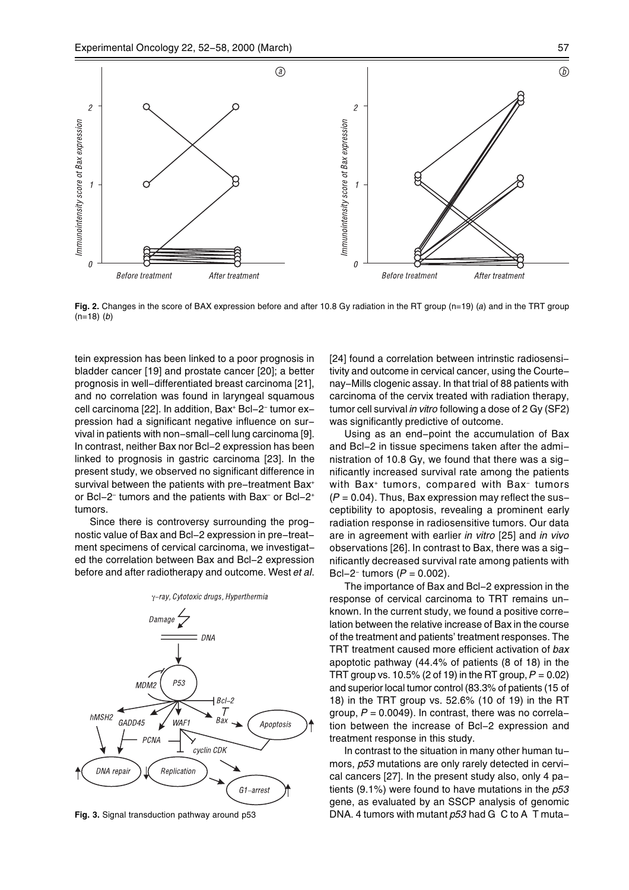

Fig. 2. Changes in the score of BAX expression before and after 10.8 Gy radiation in the RT group (n=19) (a) and in the TRT group  $(n=18)$  (b)

tein expression has been linked to a poor prognosis in bladder cancer [19] and prostate cancer [20]; a better prognosis in well-differentiated breast carcinoma [21], and no correlation was found in laryngeal squamous cell carcinoma [22]. In addition, Bax<sup>+</sup> Bcl-2<sup>-</sup> tumor expression had a significant negative influence on survival in patients with non-small-cell lung carcinoma [9]. In contrast, neither Bax nor Bcl-2 expression has been linked to prognosis in gastric carcinoma [23]. In the present study, we observed no significant difference in survival between the patients with pre-treatment Bax<sup>+</sup> or Bcl-2 tumors and the patients with Bax or Bcl-2+ tumors.

Since there is controversy surrounding the prognostic value of Bax and Bcl-2 expression in pre-treatment specimens of cervical carcinoma, we investigated the correlation between Bax and Bcl-2 expression before and after radiotherapy and outcome. West et al.



Fig. 3. Signal transduction pathway around p53

[24] found a correlation between intrinstic radiosensitivity and outcome in cervical cancer, using the Courtenay-Mills clogenic assay. In that trial of 88 patients with carcinoma of the cervix treated with radiation therapy, tumor cell survival in vitro following a dose of 2 Gy (SF2) was significantly predictive of outcome.

Using as an end-point the accumulation of Bax and Bcl-2 in tissue specimens taken after the administration of 10.8 Gy, we found that there was a significantly increased survival rate among the patients with Bax<sup>+</sup> tumors, compared with Bax<sup>-</sup> tumors  $(P = 0.04)$ . Thus, Bax expression may reflect the susceptibility to apoptosis, revealing a prominent early radiation response in radiosensitive tumors. Our data are in agreement with earlier in vitro [25] and in vivo observations [26]. In contrast to Bax, there was a significantly decreased survival rate among patients with Bcl-2- tumors ( $P = 0.002$ ).

The importance of Bax and Bcl-2 expression in the response of cervical carcinoma to TRT remains unknown. In the current study, we found a positive correlation between the relative increase of Bax in the course of the treatment and patients' treatment responses. The TRT treatment caused more efficient activation of bax apoptotic pathway (44.4% of patients (8 of 18) in the TRT group vs. 10.5% (2 of 19) in the RT group,  $P = 0.02$ ) and superior local tumor control (83.3% of patients (15 of 18) in the TRT group vs. 52.6% (10 of 19) in the RT group,  $P = 0.0049$ ). In contrast, there was no correlation between the increase of Bcl-2 expression and treatment response in this study.

In contrast to the situation in many other human tumors,  $p53$  mutations are only rarely detected in cervical cancers [27]. In the present study also, only 4 patients (9.1%) were found to have mutations in the  $p53$ gene, as evaluated by an SSCP analysis of genomic DNA. 4 tumors with mutant  $p53$  had G C to A T muta-